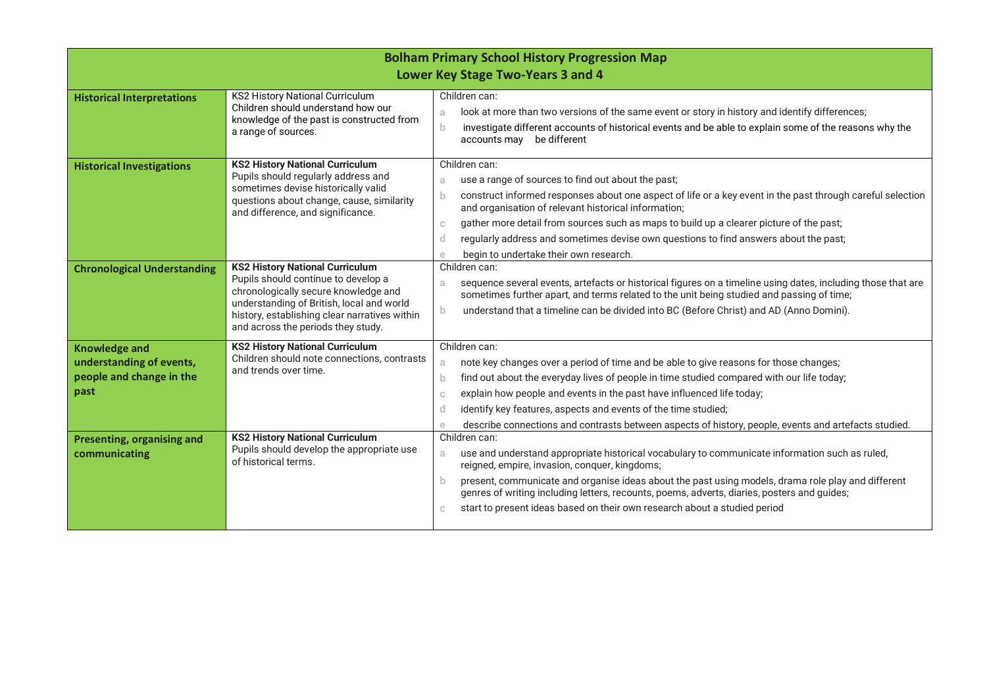| <b>Bolham Primary School History Progression Map</b><br>Lower Key Stage Two-Years 3 and 4 |                                                                                                                                                                                                                                                           |                                                                                                                                                                                                                                                                                                                                                                                                                                                                                                                                  |  |  |
|-------------------------------------------------------------------------------------------|-----------------------------------------------------------------------------------------------------------------------------------------------------------------------------------------------------------------------------------------------------------|----------------------------------------------------------------------------------------------------------------------------------------------------------------------------------------------------------------------------------------------------------------------------------------------------------------------------------------------------------------------------------------------------------------------------------------------------------------------------------------------------------------------------------|--|--|
| <b>Historical Interpretations</b>                                                         | <b>KS2 History National Curriculum</b><br>Children should understand how our<br>knowledge of the past is constructed from<br>a range of sources.                                                                                                          | Children can:<br>look at more than two versions of the same event or story in history and identify differences;<br>a<br>$\mathbf{b}$<br>investigate different accounts of historical events and be able to explain some of the reasons why the<br>accounts may be different                                                                                                                                                                                                                                                      |  |  |
| <b>Historical Investigations</b>                                                          | <b>KS2 History National Curriculum</b><br>Pupils should regularly address and<br>sometimes devise historically valid<br>questions about change, cause, similarity<br>and difference, and significance.                                                    | Children can:<br>use a range of sources to find out about the past;<br>a<br>construct informed responses about one aspect of life or a key event in the past through careful selection<br>b.<br>and organisation of relevant historical information;<br>gather more detail from sources such as maps to build up a clearer picture of the past;<br>$\mathbb{C}$<br>regularly address and sometimes devise own questions to find answers about the past;<br>$\mathsf{d}$<br>begin to undertake their own research.<br>$\mathbf e$ |  |  |
| <b>Chronological Understanding</b>                                                        | <b>KS2 History National Curriculum</b><br>Pupils should continue to develop a<br>chronologically secure knowledge and<br>understanding of British, local and world<br>history, establishing clear narratives within<br>and across the periods they study. | Children can:<br>sequence several events, artefacts or historical figures on a timeline using dates, including those that are<br>a.<br>sometimes further apart, and terms related to the unit being studied and passing of time;<br>$\mathbf{b}$<br>understand that a timeline can be divided into BC (Before Christ) and AD (Anno Domini).                                                                                                                                                                                      |  |  |
| <b>Knowledge and</b><br>understanding of events,<br>people and change in the<br>past      | <b>KS2 History National Curriculum</b><br>Children should note connections, contrasts<br>and trends over time.                                                                                                                                            | Children can:<br>note key changes over a period of time and be able to give reasons for those changes;<br>a<br>find out about the everyday lives of people in time studied compared with our life today;<br>b.<br>explain how people and events in the past have influenced life today;<br>C.<br>identify key features, aspects and events of the time studied;<br>d<br>describe connections and contrasts between aspects of history, people, events and artefacts studied.<br>e                                                |  |  |
| Presenting, organising and<br>communicating                                               | <b>KS2 History National Curriculum</b><br>Pupils should develop the appropriate use<br>of historical terms.                                                                                                                                               | Children can:<br>use and understand appropriate historical vocabulary to communicate information such as ruled,<br>a.<br>reigned, empire, invasion, conquer, kingdoms;<br>present, communicate and organise ideas about the past using models, drama role play and different<br>b.<br>genres of writing including letters, recounts, poems, adverts, diaries, posters and guides;<br>start to present ideas based on their own research about a studied period<br>C.                                                             |  |  |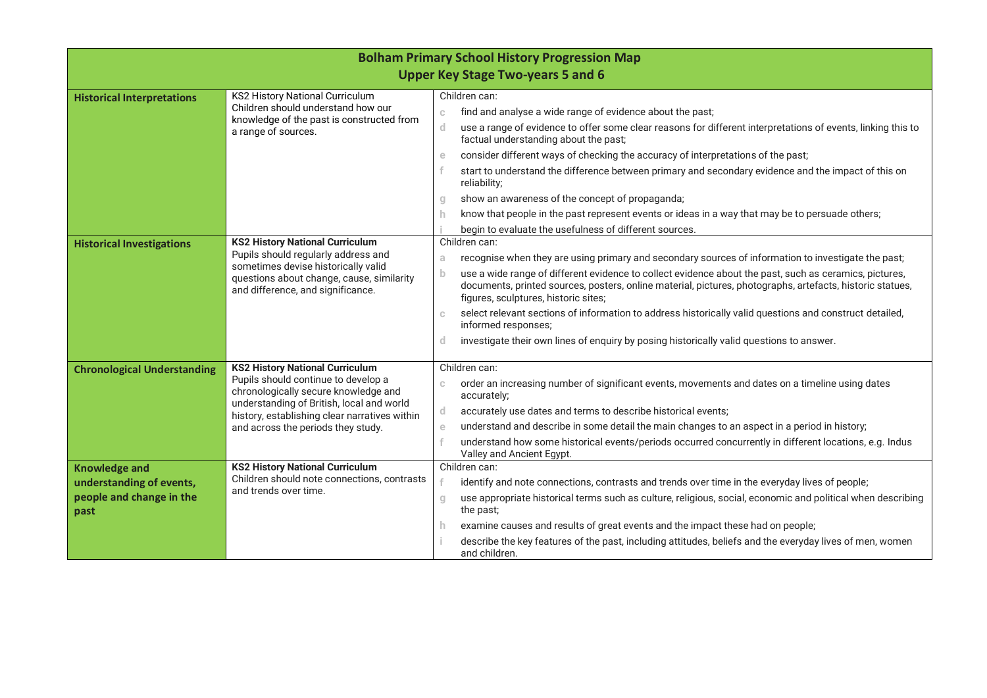| <b>Bolham Primary School History Progression Map</b><br><b>Upper Key Stage Two-years 5 and 6</b> |                                                                                                                                                                                                                                                           |                                                                                                                                                                                                                                                                                                                                                                                                                                                                                                                                                                                                                                                                                                      |  |  |  |
|--------------------------------------------------------------------------------------------------|-----------------------------------------------------------------------------------------------------------------------------------------------------------------------------------------------------------------------------------------------------------|------------------------------------------------------------------------------------------------------------------------------------------------------------------------------------------------------------------------------------------------------------------------------------------------------------------------------------------------------------------------------------------------------------------------------------------------------------------------------------------------------------------------------------------------------------------------------------------------------------------------------------------------------------------------------------------------------|--|--|--|
| <b>Historical Interpretations</b>                                                                | <b>KS2 History National Curriculum</b><br>Children should understand how our<br>knowledge of the past is constructed from<br>a range of sources.                                                                                                          | Children can:<br>find and analyse a wide range of evidence about the past;<br>$\mathbb{C}$<br>use a range of evidence to offer some clear reasons for different interpretations of events, linking this to<br>d.<br>factual understanding about the past;<br>consider different ways of checking the accuracy of interpretations of the past;<br>e<br>start to understand the difference between primary and secondary evidence and the impact of this on<br>reliability;<br>show an awareness of the concept of propaganda;<br>g<br>know that people in the past represent events or ideas in a way that may be to persuade others;<br>h.<br>begin to evaluate the usefulness of different sources. |  |  |  |
| <b>Historical Investigations</b>                                                                 | <b>KS2 History National Curriculum</b><br>Pupils should regularly address and<br>sometimes devise historically valid<br>questions about change, cause, similarity<br>and difference, and significance.                                                    | Children can:<br>recognise when they are using primary and secondary sources of information to investigate the past;<br>a<br>b<br>use a wide range of different evidence to collect evidence about the past, such as ceramics, pictures,<br>documents, printed sources, posters, online material, pictures, photographs, artefacts, historic statues,<br>figures, sculptures, historic sites;<br>select relevant sections of information to address historically valid questions and construct detailed,<br>C.<br>informed responses;<br>investigate their own lines of enquiry by posing historically valid questions to answer.<br>d.                                                              |  |  |  |
| <b>Chronological Understanding</b>                                                               | <b>KS2 History National Curriculum</b><br>Pupils should continue to develop a<br>chronologically secure knowledge and<br>understanding of British, local and world<br>history, establishing clear narratives within<br>and across the periods they study. | Children can:<br>order an increasing number of significant events, movements and dates on a timeline using dates<br>C.<br>accurately;<br>accurately use dates and terms to describe historical events;<br>$\mathsf{d}$<br>understand and describe in some detail the main changes to an aspect in a period in history;<br>$\mathop{\mathrm{e}}$<br>understand how some historical events/periods occurred concurrently in different locations, e.g. Indus<br>Valley and Ancient Egypt.                                                                                                                                                                                                               |  |  |  |
| <b>Knowledge and</b><br>understanding of events,<br>people and change in the<br>past             | <b>KS2 History National Curriculum</b><br>Children should note connections, contrasts<br>and trends over time.                                                                                                                                            | Children can:<br>identify and note connections, contrasts and trends over time in the everyday lives of people;<br>use appropriate historical terms such as culture, religious, social, economic and political when describing<br>$\mathbf{g}$<br>the past;<br>examine causes and results of great events and the impact these had on people;<br>h.<br>describe the key features of the past, including attitudes, beliefs and the everyday lives of men, women<br>and children.                                                                                                                                                                                                                     |  |  |  |